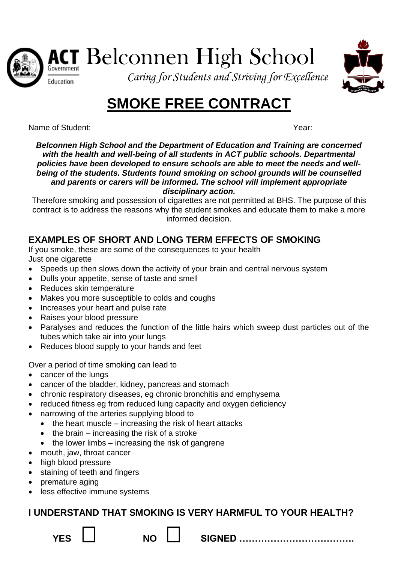

ACT Belconnen High School



*Caring for Students and Striving for Excellence*

# **SMOKE FREE CONTRACT**

Name of Student: Year:

*Belconnen High School and the Department of Education and Training are concerned with the health and well-being of all students in ACT public schools. Departmental policies have been developed to ensure schools are able to meet the needs and wellbeing of the students. Students found smoking on school grounds will be counselled and parents or carers will be informed. The school will implement appropriate disciplinary action.*

Therefore smoking and possession of cigarettes are not permitted at BHS. The purpose of this contract is to address the reasons why the student smokes and educate them to make a more informed decision.

## **EXAMPLES OF SHORT AND LONG TERM EFFECTS OF SMOKING**

If you smoke, these are some of the consequences to your health Just one cigarette

- Speeds up then slows down the activity of your brain and central nervous system
- Dulls your appetite, sense of taste and smell
- Reduces skin temperature
- Makes you more susceptible to colds and coughs
- Increases your heart and pulse rate
- Raises your blood pressure
- Paralyses and reduces the function of the little hairs which sweep dust particles out of the tubes which take air into your lungs
- Reduces blood supply to your hands and feet

Over a period of time smoking can lead to

- cancer of the lungs
- cancer of the bladder, kidney, pancreas and stomach
- chronic respiratory diseases, eg chronic bronchitis and emphysema
- reduced fitness eg from reduced lung capacity and oxygen deficiency
- narrowing of the arteries supplying blood to
	- the heart muscle increasing the risk of heart attacks
	- $\bullet$  the brain increasing the risk of a stroke
	- the lower limbs increasing the risk of gangrene
- mouth, jaw, throat cancer
- high blood pressure
- staining of teeth and fingers
- premature aging
- less effective immune systems

## **I UNDERSTAND THAT SMOKING IS VERY HARMFUL TO YOUR HEALTH?**

**YES NO SIGNED ……………………………….**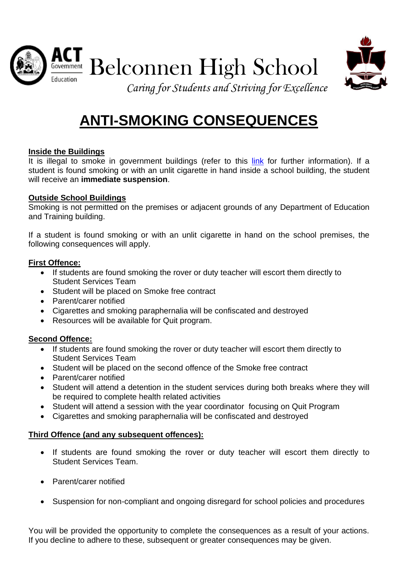



#### **Inside the Buildings**

It is illegal to smoke in government buildings (refer to this [link](http://www.health.act.gov.au/public-information/public-health/tobacco-and-smoke-free) for further information). If a student is found smoking or with an unlit cigarette in hand inside a school building, the student will receive an **immediate suspension**.

#### **Outside School Buildings**

Smoking is not permitted on the premises or adjacent grounds of any Department of Education and Training building.

If a student is found smoking or with an unlit cigarette in hand on the school premises, the following consequences will apply.

#### **First Offence:**

- If students are found smoking the rover or duty teacher will escort them directly to Student Services Team
- Student will be placed on Smoke free contract
- Parent/carer notified
- Cigarettes and smoking paraphernalia will be confiscated and destroyed
- Resources will be available for Quit program.

#### **Second Offence:**

- If students are found smoking the rover or duty teacher will escort them directly to Student Services Team
- Student will be placed on the second offence of the Smoke free contract
- Parent/carer notified
- Student will attend a detention in the student services during both breaks where they will be required to complete health related activities
- Student will attend a session with the year coordinator focusing on Quit Program
- Cigarettes and smoking paraphernalia will be confiscated and destroyed

#### **Third Offence (and any subsequent offences):**

- If students are found smoking the rover or duty teacher will escort them directly to Student Services Team.
- Parent/carer notified
- Suspension for non-compliant and ongoing disregard for school policies and procedures

You will be provided the opportunity to complete the consequences as a result of your actions. If you decline to adhere to these, subsequent or greater consequences may be given.